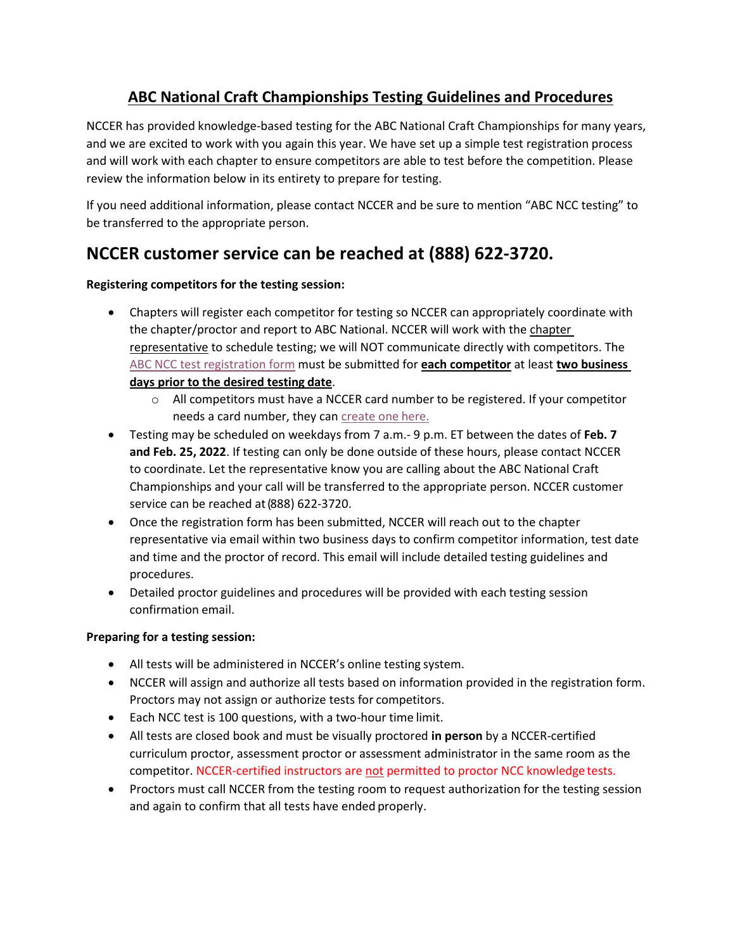## **ABC National Craft Championships Testing Guidelines and Procedures**

NCCER has provided knowledge-based testing for the ABC National Craft Championships for many years, and we are excited to work with you again this year. We have set up a simple test registration process and will work with each chapter to ensure competitors are able to test before the competition. Please review the information below in its entirety to prepare for testing.

If you need additional information, please contact NCCER and be sure to mention "ABC NCC testing" to be transferred to the appropriate person.

# **NCCER customer service can be reached at (888) 622-3720.**

### **Registering competitors for the testing session:**

- Chapters will register each competitor for testing so NCCER can appropriately coordinate with the chapter/proctor and report to ABC National. NCCER will work with the chapter representative to schedule testing; we will NOT communicate directly with competitors. The [ABC NCC test registration form](https://app.smartsheet.com/b/form/b79e7921acd94d6883431e1c73af8811) must be submitted for **each competitor** at least **two business days prior to the desired testing date**.
	- $\circ$  All competitors must have a NCCER card number to be registered. If your competitor needs a card number, they can [create one](https://www.nccer.org/create-a-card) here.
- Testing may be scheduled on weekdays from 7 a.m.- 9 p.m. ET between the dates of **Feb. 7 and Feb. 25, 2022**. If testing can only be done outside of these hours, please contact NCCER to coordinate. Let the representative know you are calling about the ABC National Craft Championships and your call will be transferred to the appropriate person. NCCER customer service can be reached at (888) 622-3720.
- Once the registration form has been submitted, NCCER will reach out to the chapter representative via email within two business days to confirm competitor information, test date and time and the proctor of record. This email will include detailed testing guidelines and procedures.
- Detailed proctor guidelines and procedures will be provided with each testing session confirmation email.

#### **Preparing for a testing session:**

- All tests will be administered in NCCER's online testing system.
- NCCER will assign and authorize all tests based on information provided in the registration form. Proctors may not assign or authorize tests for competitors.
- Each NCC test is 100 questions, with a two-hour time limit.
- All tests are closed book and must be visually proctored **in person** by a NCCER-certified curriculum proctor, assessment proctor or assessment administrator in the same room as the competitor. NCCER-certified instructors are not permitted to proctor NCC knowledge tests.
- Proctors must call NCCER from the testing room to request authorization for the testing session and again to confirm that all tests have ended properly.